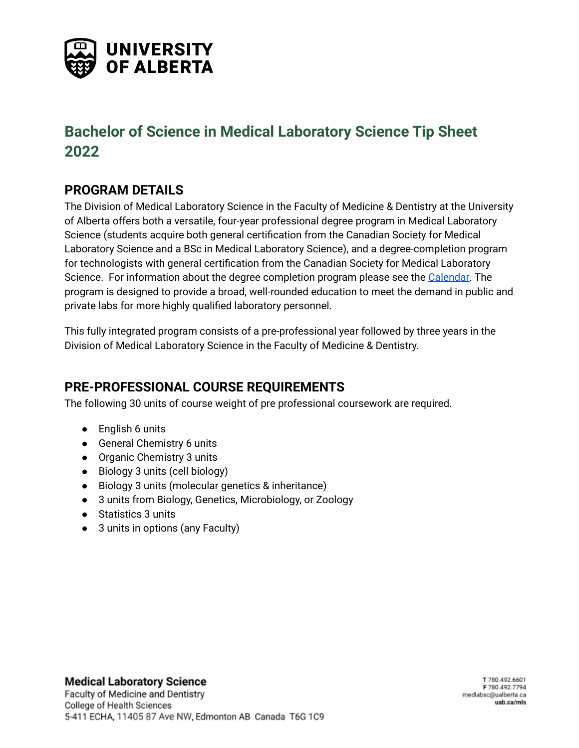

# **Bachelor of Science in Medical Laboratory Science Tip Sheet 2022**

## **PROGRAM DETAILS**

The Division of Medical Laboratory Science in the Faculty of Medicine & Dentistry at the University of Alberta offers both a versatile, four-year professional degree program in Medical Laboratory Science (students acquire both general certification from the Canadian Society for Medical Laboratory Science and a BSc in Medical Laboratory Science), and a degree-completion program for technologists with general certification from the Canadian Society for Medical Laboratory Science. For information about the degree completion program please see the [Calendar.](https://calendar.ualberta.ca/content.php?catoid=36&navoid=11300#bsc-in-medical-laboratory-science-post-professional-certification-degree-completion) The program is designed to provide a broad, well-rounded education to meet the demand in public and private labs for more highly qualified laboratory personnel.

This fully integrated program consists of a pre-professional year followed by three years in the Division of Medical Laboratory Science in the Faculty of Medicine & Dentistry.

#### **PRE-PROFESSIONAL COURSE REQUIREMENTS**

The following 30 units of course weight of pre professional coursework are required.

- English 6 units
- General Chemistry 6 units
- Organic Chemistry 3 units
- Biology 3 units (cell biology)
- Biology 3 units (molecular genetics & inheritance)
- 3 units from Biology, Genetics, Microbiology, or Zoology
- Statistics 3 units
- 3 units in options (any Faculty)

**Medical Laboratory Science**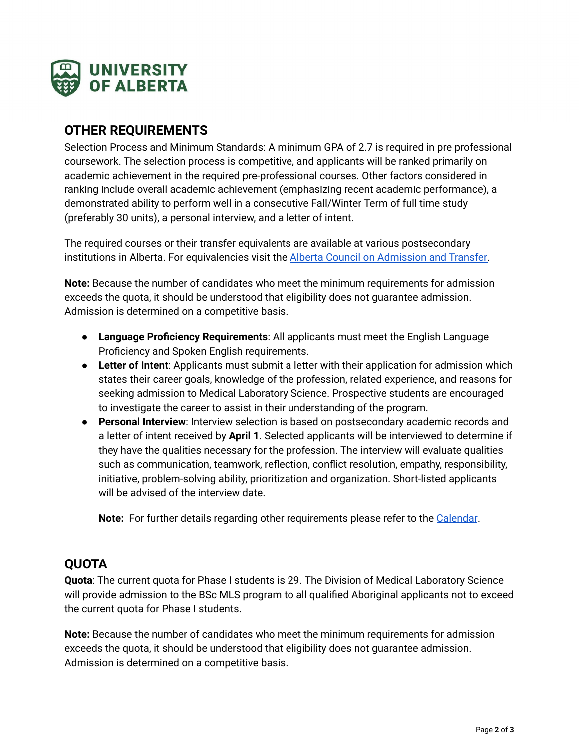

#### **OTHER REQUIREMENTS**

Selection Process and Minimum Standards: A minimum GPA of 2.7 is required in pre professional coursework. The selection process is competitive, and applicants will be ranked primarily on academic achievement in the required pre-professional courses. Other factors considered in ranking include overall academic achievement (emphasizing recent academic performance), a demonstrated ability to perform well in a consecutive Fall/Winter Term of full time study (preferably 30 units), a personal interview, and a letter of intent.

The required courses or their transfer equivalents are available at various postsecondary institutions in Alberta. For equivalencies visit the Alberta Council on [Admission](http://transferalberta.alberta.ca/) and Transfer.

**Note:** Because the number of candidates who meet the minimum requirements for admission exceeds the quota, it should be understood that eligibility does not guarantee admission. Admission is determined on a competitive basis.

- **Language Proficiency Requirements**: All applicants must meet the English Language Proficiency and Spoken English requirements.
- **Letter of Intent**: Applicants must submit a letter with their application for admission which states their career goals, knowledge of the profession, related experience, and reasons for seeking admission to Medical Laboratory Science. Prospective students are encouraged to investigate the career to assist in their understanding of the program.
- **Personal Interview**: Interview selection is based on postsecondary academic records and a letter of intent received by **April 1**. Selected applicants will be interviewed to determine if they have the qualities necessary for the profession. The interview will evaluate qualities such as communication, teamwork, reflection, conflict resolution, empathy, responsibility, initiative, problem-solving ability, prioritization and organization. Short-listed applicants will be advised of the interview date.

**Note:** For further details regarding other requirements please refer to the [Calendar](https://calendar.ualberta.ca/content.php?catoid=36&navoid=11300#bsc_in_medical_laboratory_science).

## **QUOTA**

**Quota**: The current quota for Phase I students is 29. The Division of Medical Laboratory Science will provide admission to the BSc MLS program to all qualified Aboriginal applicants not to exceed the current quota for Phase I students.

**Note:** Because the number of candidates who meet the minimum requirements for admission exceeds the quota, it should be understood that eligibility does not guarantee admission. Admission is determined on a competitive basis.